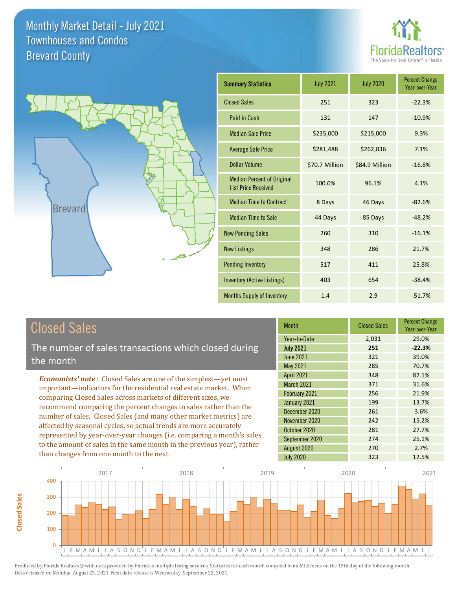



| <b>Summary Statistics</b>                                       | <b>July 2021</b> | <b>July 2020</b> | <b>Percent Change</b><br>Year-over-Year |
|-----------------------------------------------------------------|------------------|------------------|-----------------------------------------|
| <b>Closed Sales</b>                                             | 251              | 323              | $-22.3%$                                |
| Paid in Cash                                                    | 131              | 147              | $-10.9%$                                |
| <b>Median Sale Price</b>                                        | \$235,000        | \$215,000        | 9.3%                                    |
| <b>Average Sale Price</b>                                       | \$281,488        | \$262,836        | 7.1%                                    |
| Dollar Volume                                                   | \$70.7 Million   | \$84.9 Million   | $-16.8%$                                |
| <b>Median Percent of Original</b><br><b>List Price Received</b> | 100.0%           | 96.1%            | 4.1%                                    |
| <b>Median Time to Contract</b>                                  | 8 Days           | 46 Days          | $-82.6%$                                |
| <b>Median Time to Sale</b>                                      | 44 Days          | 85 Days          | $-48.2%$                                |
| <b>New Pending Sales</b>                                        | 260              | 310              | $-16.1%$                                |
| <b>New Listings</b>                                             | 348              | 286              | 21.7%                                   |
| <b>Pending Inventory</b>                                        | 517              | 411              | 25.8%                                   |
| Inventory (Active Listings)                                     | 403              | 654              | $-38.4%$                                |
| <b>Months Supply of Inventory</b>                               | 1.4              | 2.9              | $-51.7%$                                |

# Closed Sales

**Closed Sales**

**Closed Sales** 

The number of sales transactions which closed during the month

*Economists' note* : Closed Sales are one of the simplest—yet most important—indicators for the residential real estate market. When comparing Closed Sales across markets of different sizes, we recommend comparing the percent changes in sales rather than the number of sales. Closed Sales (and many other market metrics) are affected by seasonal cycles, so actual trends are more accurately represented by year-over-year changes (i.e. comparing a month's sales to the amount of sales in the same month in the previous year), rather than changes from one month to the next.

| <b>Month</b>      | <b>Closed Sales</b> | <b>Percent Change</b><br>Year-over-Year |
|-------------------|---------------------|-----------------------------------------|
| Year-to-Date      | 2,031               | 29.0%                                   |
| <b>July 2021</b>  | 251                 | $-22.3%$                                |
| June 2021         | 321                 | 39.0%                                   |
| May 2021          | 285                 | 70.7%                                   |
| <b>April 2021</b> | 348                 | 87.1%                                   |
| <b>March 2021</b> | 371                 | 31.6%                                   |
| February 2021     | 256                 | 21.9%                                   |
| January 2021      | 199                 | 13.7%                                   |
| December 2020     | 261                 | 3.6%                                    |
| November 2020     | 242                 | 15.2%                                   |
| October 2020      | 281                 | 27.7%                                   |
| September 2020    | 274                 | 25.1%                                   |
| August 2020       | 270                 | 2.7%                                    |
| <b>July 2020</b>  | 323                 | 12.5%                                   |

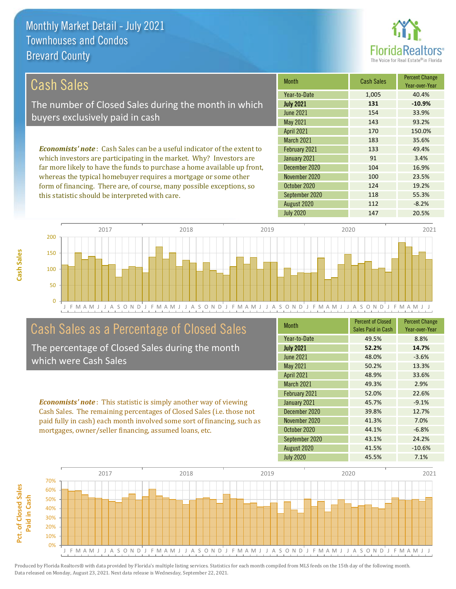

118 55.3%

124 19.2%

| Cash Sales                                                                     | <b>Month</b>      | <b>Cash Sales</b> | <b>Percent Change</b><br>Year-over-Year |
|--------------------------------------------------------------------------------|-------------------|-------------------|-----------------------------------------|
|                                                                                | Year-to-Date      | 1.005             | 40.4%                                   |
| The number of Closed Sales during the month in which                           | <b>July 2021</b>  | 131               | $-10.9%$                                |
| buyers exclusively paid in cash                                                | June 2021         | 154               | 33.9%                                   |
|                                                                                | May 2021          | 143               | 93.2%                                   |
|                                                                                | <b>April 2021</b> | 170               | 150.0%                                  |
|                                                                                | <b>March 2021</b> | 183               | 35.6%                                   |
| <b>Economists' note:</b> Cash Sales can be a useful indicator of the extent to | February 2021     | 133               | 49.4%                                   |
| which investors are participating in the market. Why? Investors are            | January 2021      | 91                | 3.4%                                    |
| far more likely to have the funds to purchase a home available up front,       | December 2020     | 104               | 16.9%                                   |
| whereas the typical homebuyer requires a mortgage or some other                | November 2020     | 100               | 23.5%                                   |

October 2020

September 2020

J F M A M J J A S O N D J F M A M J J A S O N D J F M A M J J A S O N D J F M A M J J A S O N D J F M A M J J 0 50 100 150 200 2017 2018 2019 2020 2021

# Cash Sales as a Percentage of Closed Sales

form of financing. There are, of course, many possible exceptions, so

this statistic should be interpreted with care.

The percentage of Closed Sales during the month which were Cash Sales

*Economists' note* : This statistic is simply another way of viewing Cash Sales. The remaining percentages of Closed Sales (i.e. those not paid fully in cash) each month involved some sort of financing, such as mortgages, owner/seller financing, assumed loans, etc.

| <b>Month</b>      | <b>Percent of Closed</b><br>Sales Paid in Cash | <b>Percent Change</b><br>Year-over-Year |
|-------------------|------------------------------------------------|-----------------------------------------|
| Year-to-Date      | 49.5%                                          | 8.8%                                    |
| <b>July 2021</b>  | 52.2%                                          | 14.7%                                   |
| <b>June 2021</b>  | 48.0%                                          | $-3.6%$                                 |
| May 2021          | 50.2%                                          | 13.3%                                   |
| <b>April 2021</b> | 48.9%                                          | 33.6%                                   |
| <b>March 2021</b> | 49.3%                                          | 2.9%                                    |
| February 2021     | 52.0%                                          | 22.6%                                   |
| January 2021      | 45.7%                                          | $-9.1%$                                 |
| December 2020     | 39.8%                                          | 12.7%                                   |
| November 2020     | 41.3%                                          | 7.0%                                    |
| October 2020      | 44.1%                                          | $-6.8%$                                 |
| September 2020    | 43.1%                                          | 24.2%                                   |
| August 2020       | 41.5%                                          | $-10.6%$                                |
| <b>July 2020</b>  | 45.5%                                          | 7.1%                                    |

August 2020 112 -8.2%

July 2020 147 20.5%

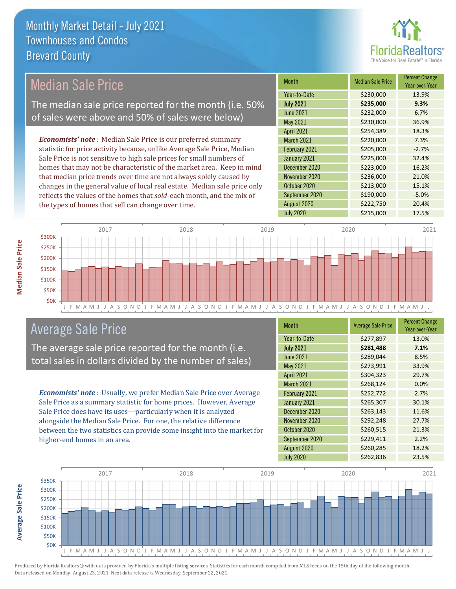

## Median Sale Price

The median sale price reported for the month (i.e. 50% of sales were above and 50% of sales were below)

*Economists' note* : Median Sale Price is our preferred summary statistic for price activity because, unlike Average Sale Price, Median Sale Price is not sensitive to high sale prices for small numbers of homes that may not be characteristic of the market area. Keep in mind that median price trends over time are not always solely caused by changes in the general value of local real estate. Median sale price only reflects the values of the homes that *sold* each month, and the mix of the types of homes that sell can change over time.

| <b>Month</b>      | <b>Median Sale Price</b> | <b>Percent Change</b><br>Year-over-Year |
|-------------------|--------------------------|-----------------------------------------|
| Year-to-Date      | \$230,000                | 13.9%                                   |
| <b>July 2021</b>  | \$235,000                | 9.3%                                    |
| <b>June 2021</b>  | \$232,000                | 6.7%                                    |
| <b>May 2021</b>   | \$230,000                | 36.9%                                   |
| <b>April 2021</b> | \$254,389                | 18.3%                                   |
| <b>March 2021</b> | \$220,000                | 7.3%                                    |
| February 2021     | \$205,000                | $-2.7%$                                 |
| January 2021      | \$225,000                | 32.4%                                   |
| December 2020     | \$223,000                | 16.2%                                   |
| November 2020     | \$236,000                | 21.0%                                   |
| October 2020      | \$213,000                | 15.1%                                   |
| September 2020    | \$190,000                | $-5.0%$                                 |
| August 2020       | \$222,750                | 20.4%                                   |
| <b>July 2020</b>  | \$215,000                | 17.5%                                   |



### Average Sale Price

The average sale price reported for the month (i.e. total sales in dollars divided by the number of sales)

*Economists' note* : Usually, we prefer Median Sale Price over Average Sale Price as a summary statistic for home prices. However, Average Sale Price does have its uses—particularly when it is analyzed alongside the Median Sale Price. For one, the relative difference between the two statistics can provide some insight into the market for higher-end homes in an area.

| <b>Month</b>      | <b>Average Sale Price</b> | <b>Percent Change</b><br>Year-over-Year |
|-------------------|---------------------------|-----------------------------------------|
| Year-to-Date      | \$277,897                 | 13.0%                                   |
| <b>July 2021</b>  | \$281,488                 | 7.1%                                    |
| <b>June 2021</b>  | \$289,044                 | 8.5%                                    |
| May 2021          | \$273,991                 | 33.9%                                   |
| <b>April 2021</b> | \$304,323                 | 29.7%                                   |
| March 2021        | \$268,124                 | 0.0%                                    |
| February 2021     | \$252,772                 | 2.7%                                    |
| January 2021      | \$265,307                 | 30.1%                                   |
| December 2020     | \$263,143                 | 11.6%                                   |
| November 2020     | \$292,248                 | 27.7%                                   |
| October 2020      | \$260,515                 | 21.3%                                   |
| September 2020    | \$229,411                 | 2.2%                                    |
| August 2020       | \$260,285                 | 18.2%                                   |
| <b>July 2020</b>  | \$262,836                 | 23.5%                                   |



**Median Sale Price**

**Median Sale Price** 

**Average Sale Price Average Sale Price**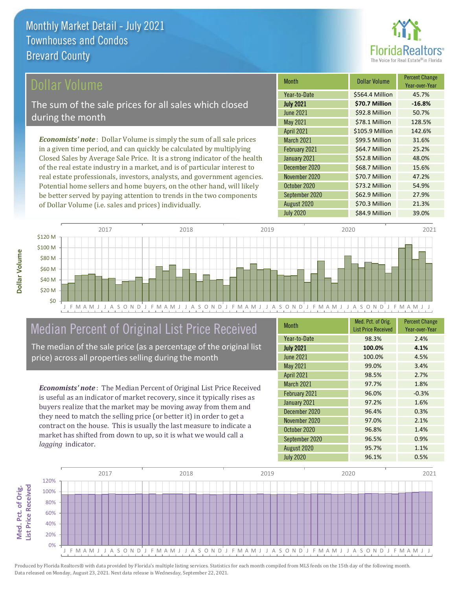

### ollar Volume

The sum of the sale prices for all sales which closed during the month

*Economists' note* : Dollar Volume is simply the sum of all sale prices in a given time period, and can quickly be calculated by multiplying Closed Sales by Average Sale Price. It is a strong indicator of the health of the real estate industry in a market, and is of particular interest to real estate professionals, investors, analysts, and government agencies. Potential home sellers and home buyers, on the other hand, will likely be better served by paying attention to trends in the two components of Dollar Volume (i.e. sales and prices) individually.

| <b>Month</b>      | <b>Dollar Volume</b> | <b>Percent Change</b><br>Year-over-Year |
|-------------------|----------------------|-----------------------------------------|
| Year-to-Date      | \$564.4 Million      | 45.7%                                   |
| <b>July 2021</b>  | \$70.7 Million       | $-16.8%$                                |
| <b>June 2021</b>  | \$92.8 Million       | 50.7%                                   |
| <b>May 2021</b>   | \$78.1 Million       | 128.5%                                  |
| <b>April 2021</b> | \$105.9 Million      | 142.6%                                  |
| March 2021        | \$99.5 Million       | 31.6%                                   |
| February 2021     | \$64.7 Million       | 25.2%                                   |
| January 2021      | \$52.8 Million       | 48.0%                                   |
| December 2020     | \$68.7 Million       | 15.6%                                   |
| November 2020     | \$70.7 Million       | 47.2%                                   |
| October 2020      | \$73.2 Million       | 54.9%                                   |
| September 2020    | \$62.9 Million       | 27.9%                                   |
| August 2020       | \$70.3 Million       | 21.3%                                   |
| <b>July 2020</b>  | \$84.9 Million       | 39.0%                                   |



## Median Percent of Original List Price Received

The median of the sale price (as a percentage of the original list price) across all properties selling during the month

*Economists' note* : The Median Percent of Original List Price Received is useful as an indicator of market recovery, since it typically rises as buyers realize that the market may be moving away from them and they need to match the selling price (or better it) in order to get a contract on the house. This is usually the last measure to indicate a market has shifted from down to up, so it is what we would call a *lagging* indicator.

| <b>Month</b>      | Med. Pct. of Orig.<br><b>List Price Received</b> | <b>Percent Change</b><br>Year-over-Year |
|-------------------|--------------------------------------------------|-----------------------------------------|
| Year-to-Date      | 98.3%                                            | 2.4%                                    |
| <b>July 2021</b>  | 100.0%                                           | 4.1%                                    |
| <b>June 2021</b>  | 100.0%                                           | 4.5%                                    |
| May 2021          | 99.0%                                            | 3.4%                                    |
| <b>April 2021</b> | 98.5%                                            | 2.7%                                    |
| March 2021        | 97.7%                                            | 1.8%                                    |
| February 2021     | 96.0%                                            | $-0.3%$                                 |
| January 2021      | 97.2%                                            | 1.6%                                    |
| December 2020     | 96.4%                                            | 0.3%                                    |
| November 2020     | 97.0%                                            | 2.1%                                    |
| October 2020      | 96.8%                                            | 1.4%                                    |
| September 2020    | 96.5%                                            | 0.9%                                    |
| August 2020       | 95.7%                                            | 1.1%                                    |
| <b>July 2020</b>  | 96.1%                                            | 0.5%                                    |

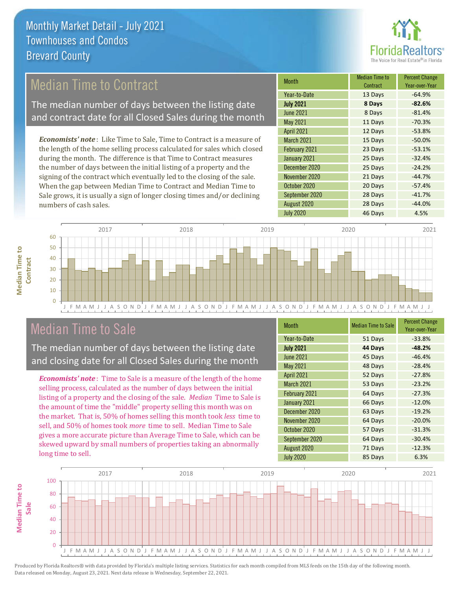

### Median Time to Contract

The median number of days between the listing date and contract date for all Closed Sales during the month

*Economists' note* : Like Time to Sale, Time to Contract is a measure of the length of the home selling process calculated for sales which closed during the month. The difference is that Time to Contract measures the number of days between the initial listing of a property and the signing of the contract which eventually led to the closing of the sale. When the gap between Median Time to Contract and Median Time to Sale grows, it is usually a sign of longer closing times and/or declining numbers of cash sales.

| <b>Month</b>      | <b>Median Time to</b><br>Contract | <b>Percent Change</b><br>Year-over-Year |
|-------------------|-----------------------------------|-----------------------------------------|
| Year-to-Date      | 13 Days                           | $-64.9%$                                |
| <b>July 2021</b>  | 8 Days                            | $-82.6%$                                |
| <b>June 2021</b>  | 8 Days                            | $-81.4%$                                |
| May 2021          | 11 Days                           | $-70.3%$                                |
| <b>April 2021</b> | 12 Days                           | $-53.8%$                                |
| March 2021        | 15 Days                           | $-50.0%$                                |
| February 2021     | 23 Days                           | $-53.1%$                                |
| January 2021      | 25 Days                           | $-32.4%$                                |
| December 2020     | 25 Days                           | $-24.2%$                                |
| November 2020     | 21 Days                           | $-44.7%$                                |
| October 2020      | 20 Days                           | $-57.4%$                                |
| September 2020    | 28 Days                           | $-41.7%$                                |
| August 2020       | 28 Days                           | $-44.0%$                                |
| <b>July 2020</b>  | 46 Days                           | 4.5%                                    |



### Median Time to Sale

**Median Time to Contract**

**Median Time to** 

The median number of days between the listing date and closing date for all Closed Sales during the month

*Economists' note* : Time to Sale is a measure of the length of the home selling process, calculated as the number of days between the initial listing of a property and the closing of the sale. *Median* Time to Sale is the amount of time the "middle" property selling this month was on the market. That is, 50% of homes selling this month took *less* time to sell, and 50% of homes took *more* time to sell. Median Time to Sale gives a more accurate picture than Average Time to Sale, which can be skewed upward by small numbers of properties taking an abnormally long time to sell.

| <b>Month</b>      | <b>Median Time to Sale</b> | <b>Percent Change</b><br>Year-over-Year |
|-------------------|----------------------------|-----------------------------------------|
| Year-to-Date      | 51 Days                    | $-33.8%$                                |
| <b>July 2021</b>  | 44 Days                    | $-48.2%$                                |
| <b>June 2021</b>  | 45 Days                    | $-46.4%$                                |
| <b>May 2021</b>   | 48 Days                    | $-28.4%$                                |
| <b>April 2021</b> | 52 Days                    | $-27.8%$                                |
| March 2021        | 53 Days                    | $-23.2%$                                |
| February 2021     | 64 Days                    | $-27.3%$                                |
| January 2021      | 66 Days                    | $-12.0%$                                |
| December 2020     | 63 Days                    | $-19.2%$                                |
| November 2020     | 64 Days                    | $-20.0%$                                |
| October 2020      | 57 Days                    | $-31.3%$                                |
| September 2020    | 64 Days                    | $-30.4%$                                |
| August 2020       | 71 Days                    | $-12.3%$                                |
| <b>July 2020</b>  | 85 Days                    | 6.3%                                    |

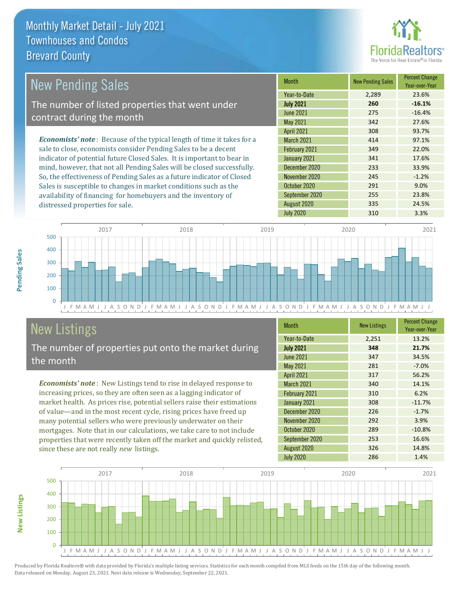distressed properties for sale.



| New Pending Sales                                                              | <b>Month</b>      | <b>New Pending Sales</b> | <b>Percent Change</b><br>Year-over-Year |
|--------------------------------------------------------------------------------|-------------------|--------------------------|-----------------------------------------|
|                                                                                | Year-to-Date      | 2.289                    | 23.6%                                   |
| The number of listed properties that went under                                | <b>July 2021</b>  | 260                      | $-16.1%$                                |
| contract during the month                                                      | <b>June 2021</b>  | 275                      | $-16.4%$                                |
|                                                                                | May 2021          | 342                      | 27.6%                                   |
|                                                                                | <b>April 2021</b> | 308                      | 93.7%                                   |
| <b>Economists' note</b> : Because of the typical length of time it takes for a | <b>March 2021</b> | 414                      | 97.1%                                   |
| sale to close, economists consider Pending Sales to be a decent                | February 2021     | 349                      | 22.0%                                   |
| indicator of potential future Closed Sales. It is important to bear in         | January 2021      | 341                      | 17.6%                                   |
| mind, however, that not all Pending Sales will be closed successfully.         | December 2020     | 233                      | 33.9%                                   |
| So, the effectiveness of Pending Sales as a future indicator of Closed         | November 2020     | 245                      | $-1.2%$                                 |
| Sales is susceptible to changes in market conditions such as the               | October 2020      | 291                      | 9.0%                                    |



# New Listings

The number of properties put onto the market during the month

availability of financing for homebuyers and the inventory of

*Economists' note* : New Listings tend to rise in delayed response to increasing prices, so they are often seen as a lagging indicator of market health. As prices rise, potential sellers raise their estimations of value—and in the most recent cycle, rising prices have freed up many potential sellers who were previously underwater on their mortgages. Note that in our calculations, we take care to not include properties that were recently taken off the market and quickly relisted, since these are not really *new* listings.

| <b>Month</b>      | <b>New Listings</b> | <b>Percent Change</b><br>Year-over-Year |
|-------------------|---------------------|-----------------------------------------|
| Year-to-Date      | 2,251               | 13.2%                                   |
| <b>July 2021</b>  | 348                 | 21.7%                                   |
| <b>June 2021</b>  | 347                 | 34.5%                                   |
| May 2021          | 281                 | $-7.0%$                                 |
| <b>April 2021</b> | 317                 | 56.2%                                   |
| March 2021        | 340                 | 14.1%                                   |
| February 2021     | 310                 | 6.2%                                    |
| January 2021      | 308                 | $-11.7%$                                |
| December 2020     | 226                 | $-1.7%$                                 |
| November 2020     | 292                 | 3.9%                                    |
| October 2020      | 289                 | $-10.8%$                                |
| September 2020    | 253                 | 16.6%                                   |
| August 2020       | 326                 | 14.8%                                   |
| <b>July 2020</b>  | 286                 | 1.4%                                    |

July 2020 310 3.3%

September 2020 255 23.8% August 2020 335 24.5%



Produced by Florida Realtors® with data provided by Florida's multiple listing services. Statistics for each month compiled from MLS feeds on the 15th day of the following month. Data released on Monday, August 23, 2021. Next data release is Wednesday, September 22, 2021.

**New Listings**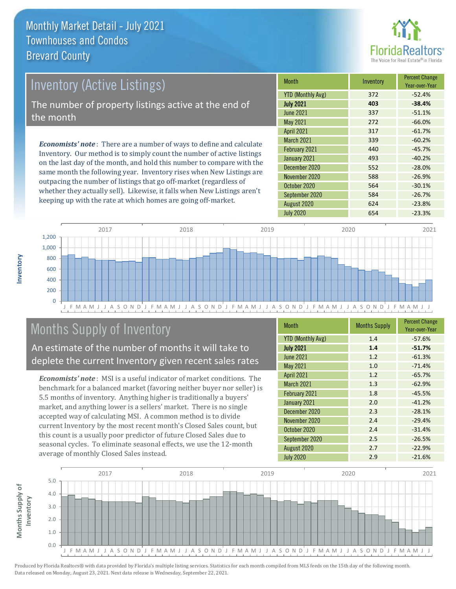

# Inventory (Active Listings) The number of property listings active at the end of the month

*Economists' note* : There are a number of ways to define and calculate Inventory. Our method is to simply count the number of active listings on the last day of the month, and hold this number to compare with the same month the following year. Inventory rises when New Listings are outpacing the number of listings that go off-market (regardless of whether they actually sell). Likewise, it falls when New Listings aren't keeping up with the rate at which homes are going off-market.

| Month                    | Inventory | <b>Percent Change</b><br>Year-over-Year |
|--------------------------|-----------|-----------------------------------------|
| <b>YTD (Monthly Avg)</b> | 372       | $-52.4%$                                |
| <b>July 2021</b>         | 403       | $-38.4%$                                |
| <b>June 2021</b>         | 337       | $-51.1%$                                |
| May 2021                 | 272       | $-66.0%$                                |
| <b>April 2021</b>        | 317       | $-61.7%$                                |
| <b>March 2021</b>        | 339       | $-60.2%$                                |
| February 2021            | 440       | $-45.7%$                                |
| January 2021             | 493       | $-40.2%$                                |
| December 2020            | 552       | $-28.0%$                                |
| November 2020            | 588       | $-26.9%$                                |
| October 2020             | 564       | $-30.1%$                                |
| September 2020           | 584       | $-26.7%$                                |
| August 2020              | 624       | $-23.8%$                                |
| <b>July 2020</b>         | 654       | $-23.3%$                                |



# Months Supply of Inventory

An estimate of the number of months it will take to deplete the current Inventory given recent sales rates

*Economists' note* : MSI is a useful indicator of market conditions. The benchmark for a balanced market (favoring neither buyer nor seller) is 5.5 months of inventory. Anything higher is traditionally a buyers' market, and anything lower is a sellers' market. There is no single accepted way of calculating MSI. A common method is to divide current Inventory by the most recent month's Closed Sales count, but this count is a usually poor predictor of future Closed Sales due to seasonal cycles. To eliminate seasonal effects, we use the 12-month average of monthly Closed Sales instead.

| <b>Month</b>             | <b>Months Supply</b> | <b>Percent Change</b><br>Year-over-Year |
|--------------------------|----------------------|-----------------------------------------|
| <b>YTD (Monthly Avg)</b> | 1.4                  | $-57.6%$                                |
| <b>July 2021</b>         | 1.4                  | $-51.7%$                                |
| <b>June 2021</b>         | 1.2                  | $-61.3%$                                |
| <b>May 2021</b>          | 1.0                  | $-71.4%$                                |
| <b>April 2021</b>        | 1.2                  | $-65.7%$                                |
| March 2021               | 1.3                  | $-62.9%$                                |
| February 2021            | 1.8                  | $-45.5%$                                |
| January 2021             | 2.0                  | $-41.2%$                                |
| December 2020            | 2.3                  | $-28.1%$                                |
| November 2020            | 2.4                  | $-29.4%$                                |
| October 2020             | 2.4                  | $-31.4%$                                |
| September 2020           | 2.5                  | $-26.5%$                                |
| August 2020              | 2.7                  | $-22.9%$                                |
| <b>July 2020</b>         | 2.9                  | $-21.6%$                                |

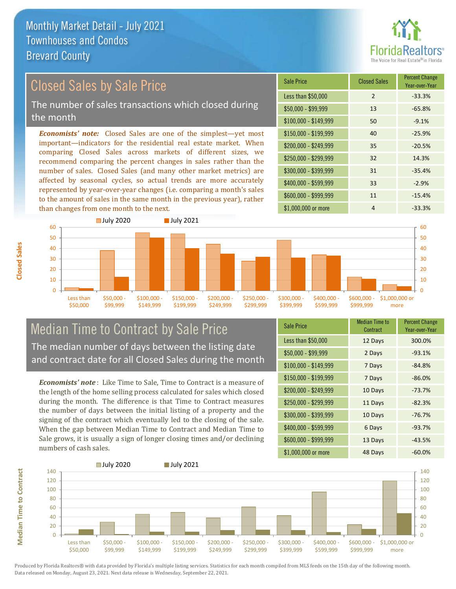

### *Economists' note:* Closed Sales are one of the simplest—yet most Closed Sales by Sale Price The number of sales transactions which closed during the month

important—indicators for the residential real estate market. When comparing Closed Sales across markets of different sizes, we recommend comparing the percent changes in sales rather than the number of sales. Closed Sales (and many other market metrics) are affected by seasonal cycles, so actual trends are more accurately represented by year-over-year changes (i.e. comparing a month's sales to the amount of sales in the same month in the previous year), rather than changes from one month to the next.

| <b>Sale Price</b>     | <b>Closed Sales</b> | <b>Percent Change</b><br>Year-over-Year |
|-----------------------|---------------------|-----------------------------------------|
| Less than \$50,000    | $\mathcal{P}$       | $-33.3%$                                |
| $$50,000 - $99,999$   | 13                  | $-65.8%$                                |
| $$100,000 - $149,999$ | 50                  | $-9.1%$                                 |
| \$150,000 - \$199,999 | 40                  | $-25.9%$                                |
| \$200,000 - \$249,999 | 35                  | $-20.5%$                                |
| \$250,000 - \$299,999 | 32                  | 14.3%                                   |
| \$300,000 - \$399,999 | 31                  | $-35.4%$                                |
| \$400,000 - \$599,999 | 33                  | $-2.9%$                                 |
| \$600,000 - \$999,999 | 11                  | $-15.4%$                                |
| \$1,000,000 or more   | 4                   | $-33.3%$                                |



### Median Time to Contract by Sale Price The median number of days between the listing date and contract date for all Closed Sales during the month

*Economists' note* : Like Time to Sale, Time to Contract is a measure of the length of the home selling process calculated for sales which closed during the month. The difference is that Time to Contract measures the number of days between the initial listing of a property and the signing of the contract which eventually led to the closing of the sale. When the gap between Median Time to Contract and Median Time to Sale grows, it is usually a sign of longer closing times and/or declining numbers of cash sales.

| <b>Sale Price</b>     | Median Time to<br>Contract | <b>Percent Change</b><br>Year-over-Year |
|-----------------------|----------------------------|-----------------------------------------|
| Less than \$50,000    | 12 Days                    | 300.0%                                  |
| \$50,000 - \$99,999   | 2 Days                     | $-93.1%$                                |
| $$100,000 - $149,999$ | 7 Days                     | $-84.8%$                                |
| $$150,000 - $199,999$ | 7 Days                     | $-86.0%$                                |
| \$200,000 - \$249,999 | 10 Days                    | $-73.7%$                                |
| \$250,000 - \$299,999 | 11 Days                    | $-82.3%$                                |
| \$300,000 - \$399,999 | 10 Days                    | $-76.7%$                                |
| $$400,000 - $599,999$ | 6 Days                     | $-93.7%$                                |
| \$600,000 - \$999,999 | 13 Days                    | $-43.5%$                                |
| \$1,000,000 or more   | 48 Days                    | $-60.0%$                                |



Produced by Florida Realtors® with data provided by Florida's multiple listing services. Statistics for each month compiled from MLS feeds on the 15th day of the following month. Data released on Monday, August 23, 2021. Next data release is Wednesday, September 22, 2021.

**Median Time to Contract**

**Median Time to Contract**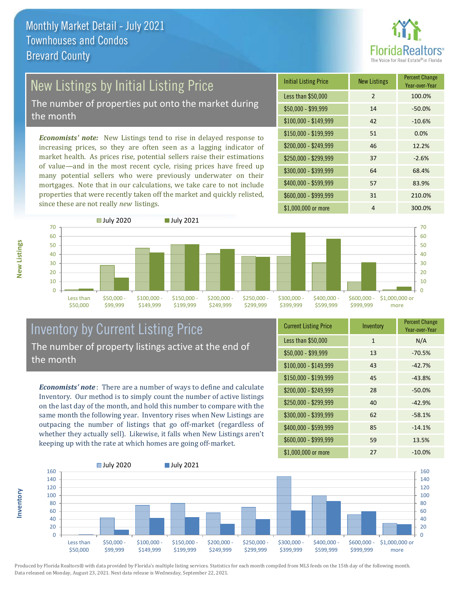

# New Listings by Initial Listing Price

The number of properties put onto the market during the month

*Economists' note:* New Listings tend to rise in delayed response to increasing prices, so they are often seen as a lagging indicator of market health. As prices rise, potential sellers raise their estimations of value—and in the most recent cycle, rising prices have freed up many potential sellers who were previously underwater on their mortgages. Note that in our calculations, we take care to not include properties that were recently taken off the market and quickly relisted, since these are not really *new* listings.





### Inventory by Current Listing Price The number of property listings active at the end of the month

*Economists' note* : There are a number of ways to define and calculate Inventory. Our method is to simply count the number of active listings on the last day of the month, and hold this number to compare with the same month the following year. Inventory rises when New Listings are outpacing the number of listings that go off-market (regardless of whether they actually sell). Likewise, it falls when New Listings aren't keeping up with the rate at which homes are going off-market.

| <b>Current Listing Price</b> | Inventory    | <b>Percent Change</b><br>Year-over-Year |
|------------------------------|--------------|-----------------------------------------|
| Less than \$50,000           | $\mathbf{1}$ | N/A                                     |
| $$50,000 - $99,999$          | 13           | $-70.5%$                                |
| $$100,000 - $149,999$        | 43           | $-42.7%$                                |
| $$150,000 - $199,999$        | 45           | $-43.8%$                                |
| \$200,000 - \$249,999        | 28           | $-50.0%$                                |
| \$250,000 - \$299,999        | 40           | $-42.9%$                                |
| \$300,000 - \$399,999        | 62           | $-58.1%$                                |
| \$400,000 - \$599,999        | 85           | $-14.1%$                                |
| \$600,000 - \$999,999        | 59           | 13.5%                                   |
| \$1,000,000 or more          | 27           | $-10.0\%$                               |



Produced by Florida Realtors® with data provided by Florida's multiple listing services. Statistics for each month compiled from MLS feeds on the 15th day of the following month. Data released on Monday, August 23, 2021. Next data release is Wednesday, September 22, 2021.

**Inventory**